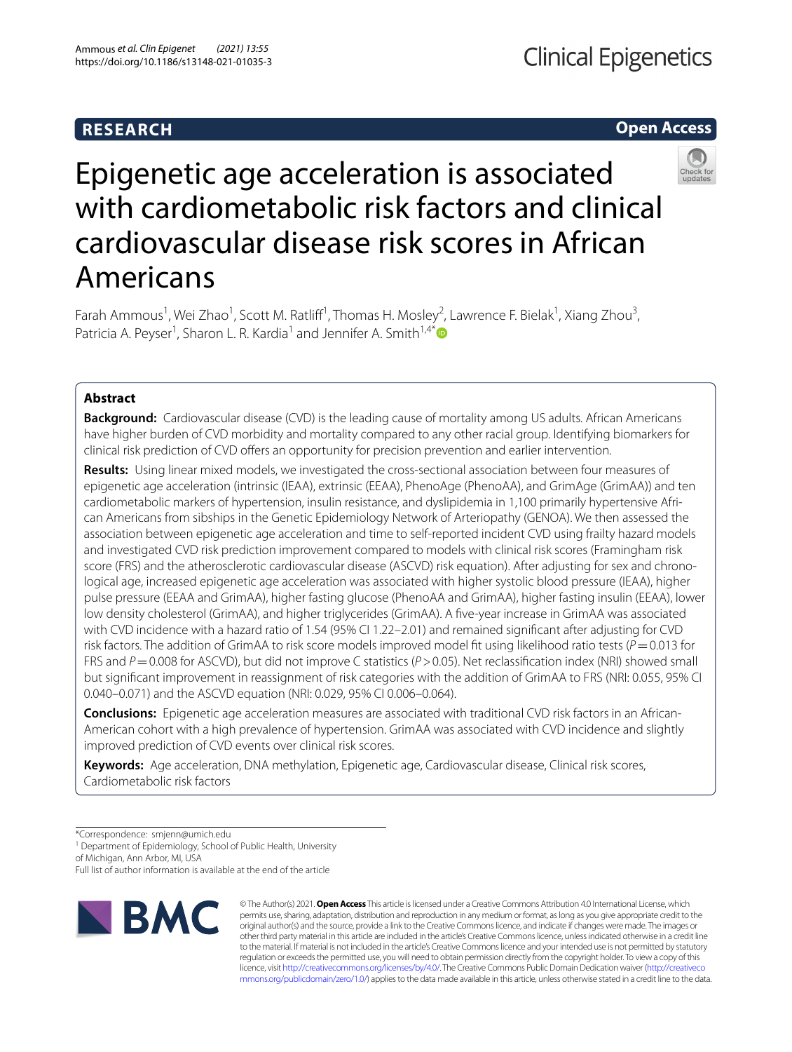# **RESEARCH**

# **Open Access**



# Epigenetic age acceleration is associated with cardiometabolic risk factors and clinical cardiovascular disease risk scores in African Americans

Farah Ammous<sup>1</sup>, Wei Zhao<sup>1</sup>, Scott M. Ratliff<sup>1</sup>, Thomas H. Mosley<sup>2</sup>, Lawrence F. Bielak<sup>1</sup>, Xiang Zhou<sup>3</sup>, Patricia A. Peyser<sup>1</sup>, Sharon L. R. Kardia<sup>1</sup> and Jennifer A. Smith<sup>1,4[\\*](http://orcid.org/0000-0002-3575-5468)</sup>

# **Abstract**

**Background:** Cardiovascular disease (CVD) is the leading cause of mortality among US adults. African Americans have higher burden of CVD morbidity and mortality compared to any other racial group. Identifying biomarkers for clinical risk prediction of CVD ofers an opportunity for precision prevention and earlier intervention.

**Results:** Using linear mixed models, we investigated the cross-sectional association between four measures of epigenetic age acceleration (intrinsic (IEAA), extrinsic (EEAA), PhenoAge (PhenoAA), and GrimAge (GrimAA)) and ten cardiometabolic markers of hypertension, insulin resistance, and dyslipidemia in 1,100 primarily hypertensive African Americans from sibships in the Genetic Epidemiology Network of Arteriopathy (GENOA). We then assessed the association between epigenetic age acceleration and time to self-reported incident CVD using frailty hazard models and investigated CVD risk prediction improvement compared to models with clinical risk scores (Framingham risk score (FRS) and the atherosclerotic cardiovascular disease (ASCVD) risk equation). After adjusting for sex and chronological age, increased epigenetic age acceleration was associated with higher systolic blood pressure (IEAA), higher pulse pressure (EEAA and GrimAA), higher fasting glucose (PhenoAA and GrimAA), higher fasting insulin (EEAA), lower low density cholesterol (GrimAA), and higher triglycerides (GrimAA). A fve-year increase in GrimAA was associated with CVD incidence with a hazard ratio of 1.54 (95% CI 1.22–2.01) and remained signifcant after adjusting for CVD risk factors. The addition of GrimAA to risk score models improved model fit using likelihood ratio tests ( $P=0.013$  for FRS and *P*=0.008 for ASCVD), but did not improve C statistics (*P*>0.05). Net reclassification index (NRI) showed small but signifcant improvement in reassignment of risk categories with the addition of GrimAA to FRS (NRI: 0.055, 95% CI 0.040–0.071) and the ASCVD equation (NRI: 0.029, 95% CI 0.006–0.064).

**Conclusions:** Epigenetic age acceleration measures are associated with traditional CVD risk factors in an African-American cohort with a high prevalence of hypertension. GrimAA was associated with CVD incidence and slightly improved prediction of CVD events over clinical risk scores.

**Keywords:** Age acceleration, DNA methylation, Epigenetic age, Cardiovascular disease, Clinical risk scores, Cardiometabolic risk factors

<sup>1</sup> Department of Epidemiology, School of Public Health, University

of Michigan, Ann Arbor, MI, USA Full list of author information is available at the end of the article



© The Author(s) 2021. **Open Access** This article is licensed under a Creative Commons Attribution 4.0 International License, which permits use, sharing, adaptation, distribution and reproduction in any medium or format, as long as you give appropriate credit to the original author(s) and the source, provide a link to the Creative Commons licence, and indicate if changes were made. The images or other third party material in this article are included in the article's Creative Commons licence, unless indicated otherwise in a credit line to the material. If material is not included in the article's Creative Commons licence and your intended use is not permitted by statutory regulation or exceeds the permitted use, you will need to obtain permission directly from the copyright holder. To view a copy of this licence, visit [http://creativecommons.org/licenses/by/4.0/.](http://creativecommons.org/licenses/by/4.0/) The Creative Commons Public Domain Dedication waiver ([http://creativeco](http://creativecommons.org/publicdomain/zero/1.0/) [mmons.org/publicdomain/zero/1.0/](http://creativecommons.org/publicdomain/zero/1.0/)) applies to the data made available in this article, unless otherwise stated in a credit line to the data.

<sup>\*</sup>Correspondence: smjenn@umich.edu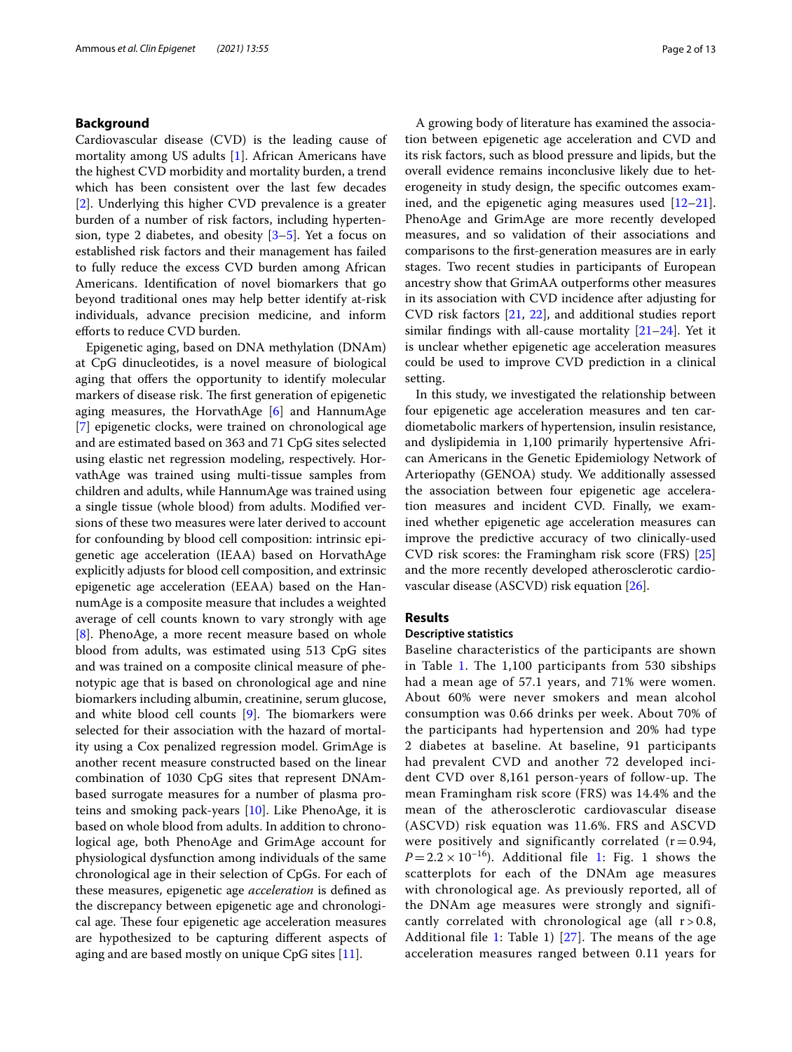#### **Background**

Cardiovascular disease (CVD) is the leading cause of mortality among US adults [\[1](#page-11-0)]. African Americans have the highest CVD morbidity and mortality burden, a trend which has been consistent over the last few decades [[2\]](#page-11-1). Underlying this higher CVD prevalence is a greater burden of a number of risk factors, including hypertension, type 2 diabetes, and obesity [[3](#page-11-2)[–5](#page-11-3)]. Yet a focus on established risk factors and their management has failed to fully reduce the excess CVD burden among African Americans. Identifcation of novel biomarkers that go beyond traditional ones may help better identify at-risk individuals, advance precision medicine, and inform efforts to reduce CVD burden.

Epigenetic aging, based on DNA methylation (DNAm) at CpG dinucleotides, is a novel measure of biological aging that offers the opportunity to identify molecular markers of disease risk. The first generation of epigenetic aging measures, the HorvathAge  $[6]$  $[6]$  and HannumAge [[7\]](#page-11-5) epigenetic clocks, were trained on chronological age and are estimated based on 363 and 71 CpG sites selected using elastic net regression modeling, respectively. HorvathAge was trained using multi-tissue samples from children and adults, while HannumAge was trained using a single tissue (whole blood) from adults. Modifed versions of these two measures were later derived to account for confounding by blood cell composition: intrinsic epigenetic age acceleration (IEAA) based on HorvathAge explicitly adjusts for blood cell composition, and extrinsic epigenetic age acceleration (EEAA) based on the HannumAge is a composite measure that includes a weighted average of cell counts known to vary strongly with age [[8\]](#page-11-6). PhenoAge, a more recent measure based on whole blood from adults, was estimated using 513 CpG sites and was trained on a composite clinical measure of phenotypic age that is based on chronological age and nine biomarkers including albumin, creatinine, serum glucose, and white blood cell counts  $[9]$  $[9]$ . The biomarkers were selected for their association with the hazard of mortality using a Cox penalized regression model. GrimAge is another recent measure constructed based on the linear combination of 1030 CpG sites that represent DNAmbased surrogate measures for a number of plasma proteins and smoking pack-years [\[10\]](#page-11-8). Like PhenoAge, it is based on whole blood from adults. In addition to chronological age, both PhenoAge and GrimAge account for physiological dysfunction among individuals of the same chronological age in their selection of CpGs. For each of these measures, epigenetic age *acceleration* is defned as the discrepancy between epigenetic age and chronological age. These four epigenetic age acceleration measures are hypothesized to be capturing diferent aspects of aging and are based mostly on unique CpG sites [[11](#page-11-9)].

A growing body of literature has examined the association between epigenetic age acceleration and CVD and its risk factors, such as blood pressure and lipids, but the overall evidence remains inconclusive likely due to heterogeneity in study design, the specifc outcomes examined, and the epigenetic aging measures used  $[12-21]$  $[12-21]$  $[12-21]$ . PhenoAge and GrimAge are more recently developed measures, and so validation of their associations and comparisons to the frst-generation measures are in early stages. Two recent studies in participants of European ancestry show that GrimAA outperforms other measures in its association with CVD incidence after adjusting for CVD risk factors [[21,](#page-11-11) [22](#page-11-12)], and additional studies report similar findings with all-cause mortality  $[21-24]$  $[21-24]$  $[21-24]$ . Yet it is unclear whether epigenetic age acceleration measures could be used to improve CVD prediction in a clinical setting.

In this study, we investigated the relationship between four epigenetic age acceleration measures and ten cardiometabolic markers of hypertension, insulin resistance, and dyslipidemia in 1,100 primarily hypertensive African Americans in the Genetic Epidemiology Network of Arteriopathy (GENOA) study. We additionally assessed the association between four epigenetic age acceleration measures and incident CVD. Finally, we examined whether epigenetic age acceleration measures can improve the predictive accuracy of two clinically-used CVD risk scores: the Framingham risk score (FRS) [[25](#page-12-1)] and the more recently developed atherosclerotic cardiovascular disease (ASCVD) risk equation [\[26](#page-12-2)].

#### **Results**

#### **Descriptive statistics**

Baseline characteristics of the participants are shown in Table [1.](#page-2-0) The 1,100 participants from 530 sibships had a mean age of 57.1 years, and 71% were women. About 60% were never smokers and mean alcohol consumption was 0.66 drinks per week. About 70% of the participants had hypertension and 20% had type 2 diabetes at baseline. At baseline, 91 participants had prevalent CVD and another 72 developed incident CVD over 8,161 person-years of follow-up. The mean Framingham risk score (FRS) was 14.4% and the mean of the atherosclerotic cardiovascular disease (ASCVD) risk equation was 11.6%. FRS and ASCVD were positively and significantly correlated  $(r = 0.94,$  $P = 2.2 \times 10^{-16}$  $P = 2.2 \times 10^{-16}$  $P = 2.2 \times 10^{-16}$ ). Additional file 1: Fig. 1 shows the scatterplots for each of the DNAm age measures with chronological age. As previously reported, all of the DNAm age measures were strongly and significantly correlated with chronological age (all  $r > 0.8$ , Additional file [1:](#page-11-13) Table 1)  $[27]$  $[27]$  $[27]$ . The means of the age acceleration measures ranged between 0.11 years for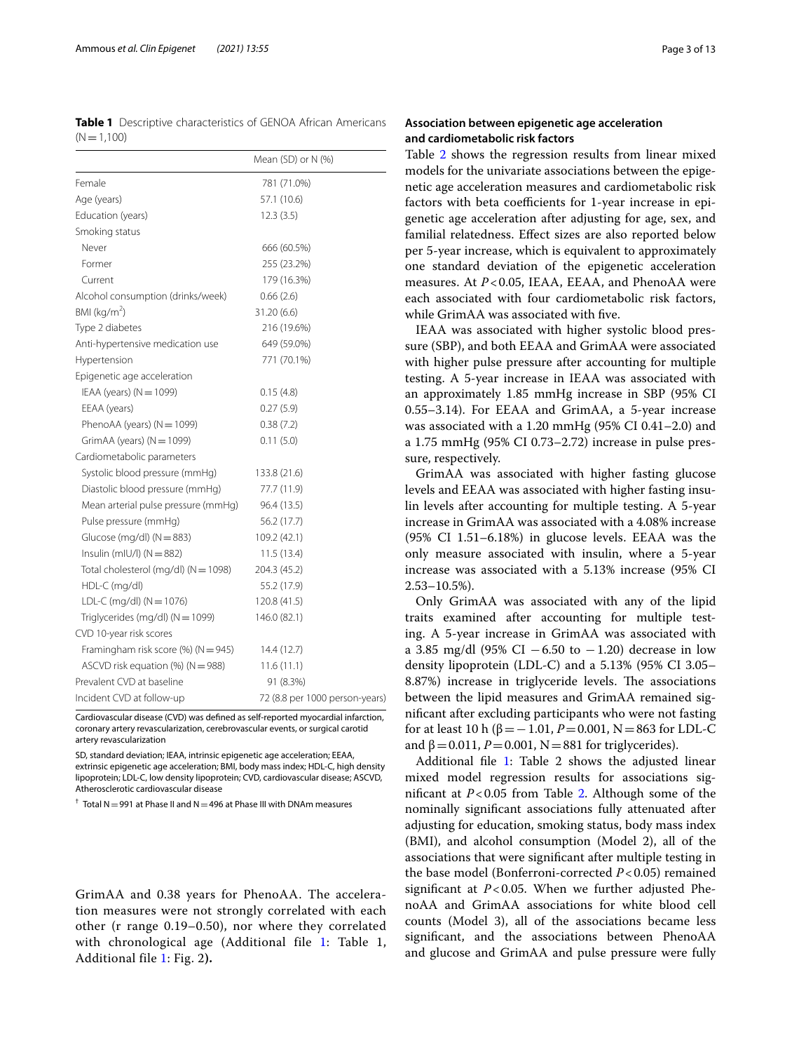<span id="page-2-0"></span>**Table 1** Descriptive characteristics of GENOA African Americans  $(N=1,100)$ 

|                                            | Mean (SD) or N (%)             |
|--------------------------------------------|--------------------------------|
| Female                                     | 781 (71.0%)                    |
| Age (years)                                | 57.1 (10.6)                    |
| Education (years)                          | 12.3(3.5)                      |
| Smoking status                             |                                |
| Never                                      | 666 (60.5%)                    |
| Former                                     | 255 (23.2%)                    |
| Current                                    | 179 (16.3%)                    |
| Alcohol consumption (drinks/week)          | 0.66(2.6)                      |
| BMI ( $kg/m2$ )                            | 31.20 (6.6)                    |
| Type 2 diabetes                            | 216 (19.6%)                    |
| Anti-hypertensive medication use           | 649 (59.0%)                    |
| Hypertension                               | 771 (70.1%)                    |
| Epigenetic age acceleration                |                                |
| IEAA (years) ( $N = 1099$ )                | 0.15(4.8)                      |
| EEAA (years)                               | 0.27(5.9)                      |
| PhenoAA (years) $(N = 1099)$               | 0.38(7.2)                      |
| GrimAA (years) $(N = 1099)$                | 0.11(5.0)                      |
| Cardiometabolic parameters                 |                                |
| Systolic blood pressure (mmHg)             | 133.8 (21.6)                   |
| Diastolic blood pressure (mmHg)            | 77.7 (11.9)                    |
| Mean arterial pulse pressure (mmHg)        | 96.4 (13.5)                    |
| Pulse pressure (mmHg)                      | 56.2 (17.7)                    |
| Glucose (mg/dl) ( $N = 883$ )              | 109.2 (42.1)                   |
| Insulin (mIU/l) ( $N = 882$ )              | 11.5(13.4)                     |
| Total cholesterol (mg/dl) ( $N = 1098$ )   | 204.3 (45.2)                   |
| HDL-C (mg/dl)                              | 55.2 (17.9)                    |
| LDL-C (mg/dl) ( $N = 1076$ )               | 120.8 (41.5)                   |
| Triglycerides (mg/dl) ( $N = 1099$ )       | 146.0 (82.1)                   |
| CVD 10-year risk scores                    |                                |
| Framingham risk score $(\%)$ ( $N = 945$ ) | 14.4(12.7)                     |
| ASCVD risk equation $(\%)$ (N = 988)       | 11.6(11.1)                     |
| Prevalent CVD at baseline                  | 91 (8.3%)                      |
| Incident CVD at follow-up                  | 72 (8.8 per 1000 person-years) |

Cardiovascular disease (CVD) was defned as self-reported myocardial infarction, coronary artery revascularization, cerebrovascular events, or surgical carotid artery revascularization

SD, standard deviation; IEAA, intrinsic epigenetic age acceleration; EEAA, extrinsic epigenetic age acceleration; BMI, body mass index; HDL-C, high density lipoprotein; LDL-C, low density lipoprotein; CVD, cardiovascular disease; ASCVD, Atherosclerotic cardiovascular disease

 $\dagger$  Total N = 991 at Phase II and N = 496 at Phase III with DNAm measures

GrimAA and 0.38 years for PhenoAA. The acceleration measures were not strongly correlated with each other (r range 0.19–0.50), nor where they correlated with chronological age (Additional file [1:](#page-11-13) Table 1, Additional file [1:](#page-11-13) Fig. 2**).**

#### **Association between epigenetic age acceleration and cardiometabolic risk factors**

Table [2](#page-5-0) shows the regression results from linear mixed models for the univariate associations between the epigenetic age acceleration measures and cardiometabolic risk factors with beta coefficients for 1-year increase in epigenetic age acceleration after adjusting for age, sex, and familial relatedness. Efect sizes are also reported below per 5-year increase, which is equivalent to approximately one standard deviation of the epigenetic acceleration measures. At  $P < 0.05$ , IEAA, EEAA, and PhenoAA were each associated with four cardiometabolic risk factors, while GrimAA was associated with fve.

IEAA was associated with higher systolic blood pressure (SBP), and both EEAA and GrimAA were associated with higher pulse pressure after accounting for multiple testing. A 5-year increase in IEAA was associated with an approximately 1.85 mmHg increase in SBP (95% CI 0.55–3.14). For EEAA and GrimAA, a 5-year increase was associated with a 1.20 mmHg (95% CI 0.41–2.0) and a 1.75 mmHg (95% CI 0.73–2.72) increase in pulse pressure, respectively.

GrimAA was associated with higher fasting glucose levels and EEAA was associated with higher fasting insulin levels after accounting for multiple testing. A 5-year increase in GrimAA was associated with a 4.08% increase (95% CI 1.51–6.18%) in glucose levels. EEAA was the only measure associated with insulin, where a 5-year increase was associated with a 5.13% increase (95% CI 2.53–10.5%).

Only GrimAA was associated with any of the lipid traits examined after accounting for multiple testing. A 5-year increase in GrimAA was associated with a 3.85 mg/dl (95% CI −6.50 to −1.20) decrease in low density lipoprotein (LDL-C) and a 5.13% (95% CI 3.05– 8.87%) increase in triglyceride levels. The associations between the lipid measures and GrimAA remained signifcant after excluding participants who were not fasting for at least 10 h ( $\beta$  = − 1.01, *P* = 0.001, N = 863 for LDL-C and  $\beta$  = 0.011, *P* = 0.001, N = 881 for triglycerides).

Additional file [1:](#page-11-13) Table 2 shows the adjusted linear mixed model regression results for associations significant at  $P < 0.05$  from Table [2.](#page-5-0) Although some of the nominally signifcant associations fully attenuated after adjusting for education, smoking status, body mass index (BMI), and alcohol consumption (Model 2), all of the associations that were signifcant after multiple testing in the base model (Bonferroni-corrected *P*<0.05) remained significant at  $P < 0.05$ . When we further adjusted PhenoAA and GrimAA associations for white blood cell counts (Model 3), all of the associations became less signifcant, and the associations between PhenoAA and glucose and GrimAA and pulse pressure were fully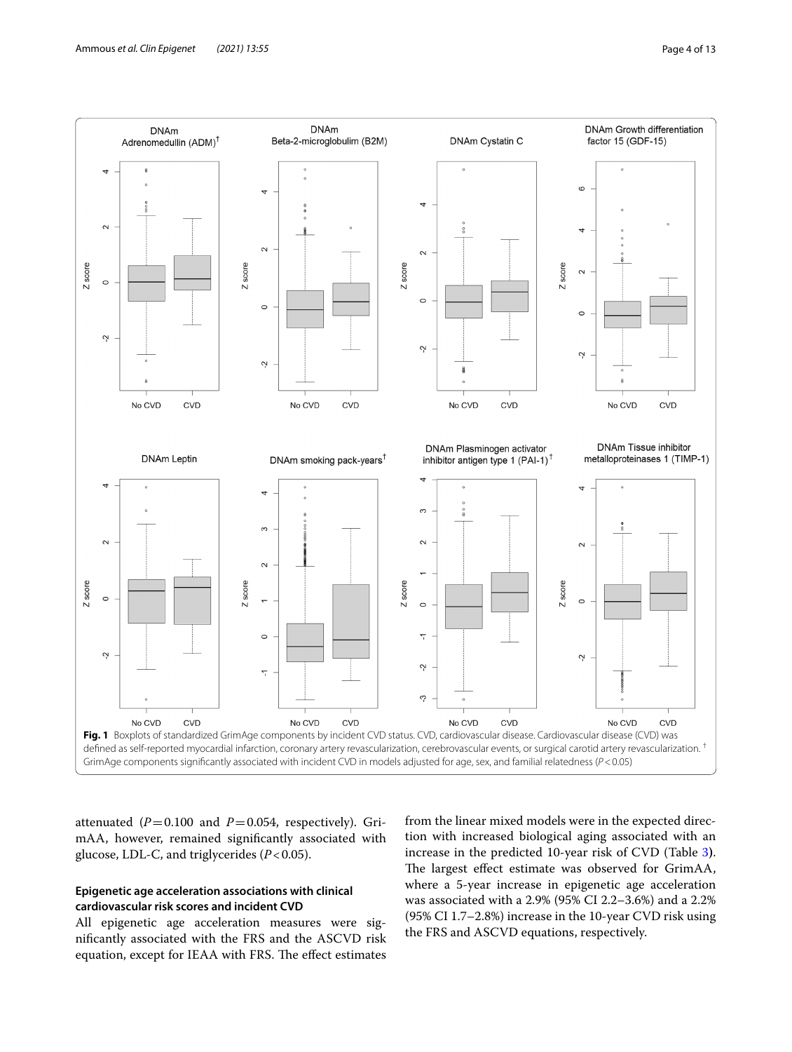

<span id="page-3-0"></span>attenuated  $(P=0.100$  and  $P=0.054$ , respectively). GrimAA, however, remained signifcantly associated with glucose, LDL-C, and triglycerides (*P*<0.05).

## **Epigenetic age acceleration associations with clinical cardiovascular risk scores and incident CVD**

All epigenetic age acceleration measures were signifcantly associated with the FRS and the ASCVD risk equation, except for IEAA with FRS. The effect estimates

from the linear mixed models were in the expected direction with increased biological aging associated with an increase in the predicted 10-year risk of CVD (Table [3](#page-6-0)**)**. The largest effect estimate was observed for GrimAA, where a 5-year increase in epigenetic age acceleration was associated with a 2.9% (95% CI 2.2–3.6%) and a 2.2% (95% CI 1.7–2.8%) increase in the 10-year CVD risk using the FRS and ASCVD equations, respectively.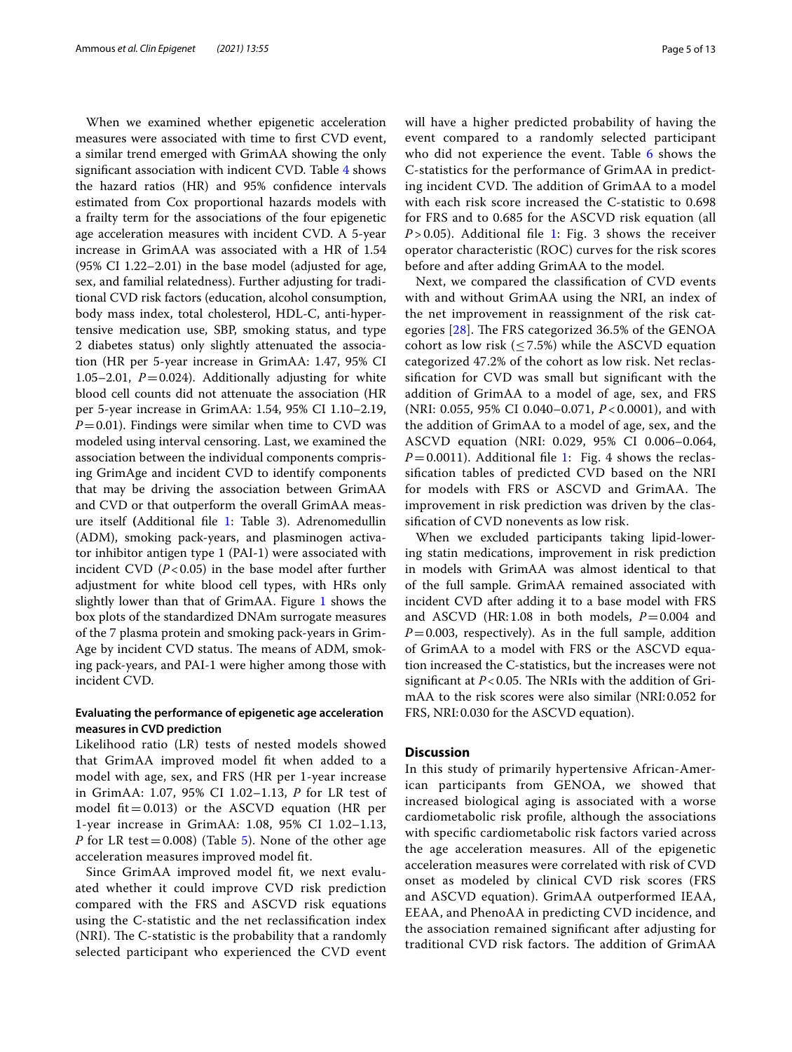When we examined whether epigenetic acceleration measures were associated with time to frst CVD event, a similar trend emerged with GrimAA showing the only signifcant association with indicent CVD. Table [4](#page-6-1) shows the hazard ratios (HR) and 95% confdence intervals estimated from Cox proportional hazards models with a frailty term for the associations of the four epigenetic age acceleration measures with incident CVD. A 5-year increase in GrimAA was associated with a HR of 1.54 (95% CI 1.22–2.01) in the base model (adjusted for age, sex, and familial relatedness). Further adjusting for traditional CVD risk factors (education, alcohol consumption, body mass index, total cholesterol, HDL-C, anti-hypertensive medication use, SBP, smoking status, and type 2 diabetes status) only slightly attenuated the association (HR per 5-year increase in GrimAA: 1.47, 95% CI 1.05–2.01,  $P = 0.024$ ). Additionally adjusting for white blood cell counts did not attenuate the association (HR per 5-year increase in GrimAA: 1.54, 95% CI 1.10–2.19,  $P=0.01$ ). Findings were similar when time to CVD was modeled using interval censoring. Last, we examined the association between the individual components comprising GrimAge and incident CVD to identify components that may be driving the association between GrimAA and CVD or that outperform the overall GrimAA measure itself **(**Additional fle [1:](#page-11-13) Table 3). Adrenomedullin (ADM), smoking pack-years, and plasminogen activator inhibitor antigen type 1 (PAI-1) were associated with incident CVD  $(P<0.05)$  in the base model after further adjustment for white blood cell types, with HRs only slightly lower than that of GrimAA. Figure [1](#page-3-0) shows the box plots of the standardized DNAm surrogate measures of the 7 plasma protein and smoking pack-years in Grim-Age by incident CVD status. The means of ADM, smoking pack-years, and PAI-1 were higher among those with incident CVD.

### **Evaluating the performance of epigenetic age acceleration measures in CVD prediction**

Likelihood ratio (LR) tests of nested models showed that GrimAA improved model ft when added to a model with age, sex, and FRS (HR per 1-year increase in GrimAA: 1.07, 95% CI 1.02–1.13, *P* for LR test of model fit  $= 0.013$ ) or the ASCVD equation (HR per 1-year increase in GrimAA: 1.08, 95% CI 1.02–1.13, *P* for LR test = 0.008) (Table [5\)](#page-6-2). None of the other age acceleration measures improved model ft.

Since GrimAA improved model ft, we next evaluated whether it could improve CVD risk prediction compared with the FRS and ASCVD risk equations using the C-statistic and the net reclassifcation index (NRI). The C-statistic is the probability that a randomly selected participant who experienced the CVD event will have a higher predicted probability of having the event compared to a randomly selected participant who did not experience the event. Table [6](#page-7-0) shows the C-statistics for the performance of GrimAA in predicting incident CVD. The addition of GrimAA to a model with each risk score increased the C-statistic to 0.698 for FRS and to 0.685 for the ASCVD risk equation (all  $P > 0.05$ ). Additional file [1](#page-11-13): Fig. 3 shows the receiver operator characteristic (ROC) curves for the risk scores before and after adding GrimAA to the model.

Next, we compared the classifcation of CVD events with and without GrimAA using the NRI, an index of the net improvement in reassignment of the risk categories  $[28]$  $[28]$ . The FRS categorized 36.5% of the GENOA cohort as low risk  $(\leq 7.5\%)$  while the ASCVD equation categorized 47.2% of the cohort as low risk. Net reclassifcation for CVD was small but signifcant with the addition of GrimAA to a model of age, sex, and FRS (NRI: 0.055, 95% CI 0.040–0.071, *P* < 0.0001), and with the addition of GrimAA to a model of age, sex, and the ASCVD equation (NRI: 0.029, 95% CI 0.006–0.064,  $P=0.0011$  $P=0.0011$  $P=0.0011$ ). Additional file 1: Fig. 4 shows the reclassifcation tables of predicted CVD based on the NRI for models with FRS or ASCVD and GrimAA. The improvement in risk prediction was driven by the classifcation of CVD nonevents as low risk.

When we excluded participants taking lipid-lowering statin medications, improvement in risk prediction in models with GrimAA was almost identical to that of the full sample. GrimAA remained associated with incident CVD after adding it to a base model with FRS and ASCVD (HR:1.08 in both models,  $P=0.004$  and  $P=0.003$ , respectively). As in the full sample, addition of GrimAA to a model with FRS or the ASCVD equation increased the C-statistics, but the increases were not significant at  $P < 0.05$ . The NRIs with the addition of GrimAA to the risk scores were also similar (NRI:0.052 for FRS, NRI:0.030 for the ASCVD equation).

#### **Discussion**

In this study of primarily hypertensive African-American participants from GENOA, we showed that increased biological aging is associated with a worse cardiometabolic risk profle, although the associations with specifc cardiometabolic risk factors varied across the age acceleration measures. All of the epigenetic acceleration measures were correlated with risk of CVD onset as modeled by clinical CVD risk scores (FRS and ASCVD equation). GrimAA outperformed IEAA, EEAA, and PhenoAA in predicting CVD incidence, and the association remained signifcant after adjusting for traditional CVD risk factors. The addition of GrimAA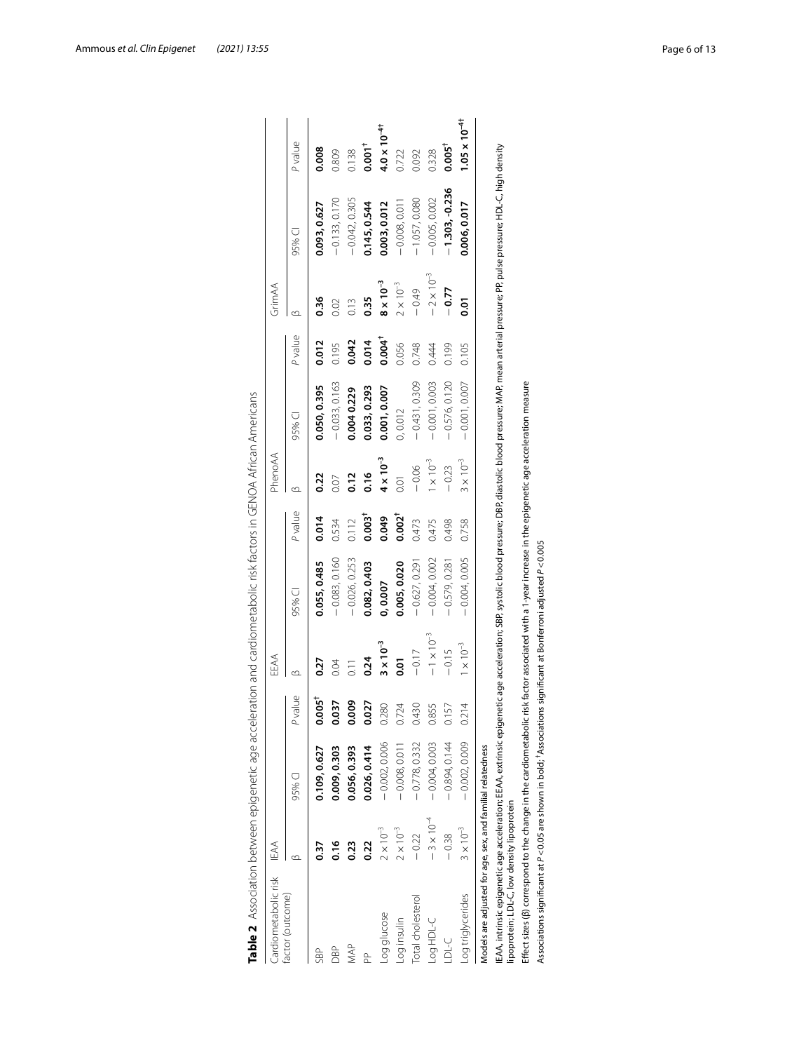| Cardiometabolic risk                                                                                                                                                                                                                                                                      | IEAA                |                 |                          | EEAA                |                 |           | PhenoAA            |                 |                   | GrimAA              |                  |                       |
|-------------------------------------------------------------------------------------------------------------------------------------------------------------------------------------------------------------------------------------------------------------------------------------------|---------------------|-----------------|--------------------------|---------------------|-----------------|-----------|--------------------|-----------------|-------------------|---------------------|------------------|-----------------------|
| factor (outcome)                                                                                                                                                                                                                                                                          |                     | 95% CI          | P value                  |                     | 95% CI          | P value   | ∞                  | 95% CI          | <b>P</b> value    |                     | 95% CI           | <b>P</b> value        |
| <b>SBP</b>                                                                                                                                                                                                                                                                                | 0.37                | 0.109, 0.627    | $0.005^+$                | 0.27                | 0.055, 0.485    | 0.014     | 0.22               | 0.050, 0.395    | 0.012             | 0.36                | 0.093, 0.627     | 0.008                 |
| <b>BP</b>                                                                                                                                                                                                                                                                                 | 0.16                | 0.009, 0.303    | 0.037                    | 0.04                | $-0.083, 0.160$ | 0.534     | 0.07               | $-0.033, 0.163$ | 0.195             | 0.02                | $-0.133, 0.170$  | 0.809                 |
| MAP                                                                                                                                                                                                                                                                                       | 0.23                | 0.056, 0.393    | 0.009                    | Ξ                   | $-0.026, 0.253$ | 0.112     | 0.12               | 0.004 0.229     | 0.042             | $\frac{3}{2}$       | $-0.042, 0.305$  | 0.138                 |
|                                                                                                                                                                                                                                                                                           | 0.22                | 0.026, 0.414    | 0.027                    | 0.24                | 0.082, 0.403    | $0.003^+$ | 0.16               | 0.033, 0.293    | 0.014             | 0.35                | 0.145, 0.544     | $0.001$ <sup>+</sup>  |
| Fog alncose                                                                                                                                                                                                                                                                               | $2\times10^{-3}$    | $-0.002, 0.006$ | 280<br>S                 | $3 \times 10^{-3}$  | 0,0.007         | 0.049     | $4 \times 10^{-3}$ | 0.001, 0.007    | $0.004^{\dagger}$ | $8 \times 10^{-3}$  | 0.003, 0.012     | $4.0 \times 10^{-4+}$ |
| Log insulin                                                                                                                                                                                                                                                                               | $2 \times 10^{-3}$  | $-0.008, 0.011$ | 0.724                    | ភ្ល                 | 0.005, 0.020    | $0.002^+$ | 0.01               | 0,0.012         | 0.056             | $2\times10^{-3}$    | $-0.008, 0.011$  | 0.722                 |
| Total cholesterol                                                                                                                                                                                                                                                                         | $-0.22$             | 0.778, 0.332    | 0.430                    | $-0.17$             | $-0.627, 0.291$ | 0.473     | $-0.06$            | $-0.431, 0.309$ | 0.748             | $-0.49$             | $-1.057,0.080$   | 0.092                 |
| <b>D-IQH poli</b>                                                                                                                                                                                                                                                                         | $-3 \times 10^{-4}$ | $-0.004, 0.003$ | 0.855                    | $-1 \times 10^{-3}$ | $-0.004, 0.002$ | 0.475     | $1 \times 10^{-3}$ | $-0.001, 0.003$ | 0.444             | $-2 \times 10^{-3}$ | $-0.005, 0.002$  | 0.328                 |
| $\frac{1}{2}$                                                                                                                                                                                                                                                                             | $-0.38$             | 0.894, 0.144    | 57<br>$\overline{\circ}$ | $-0.15$             | $-0.579, 0.281$ | 0.498     | $-0.23$            | $-0.576, 0.120$ | 0.199             | $-0.77$             | $-1.303, -0.236$ | $0.005^+$             |
| Log triglycerides                                                                                                                                                                                                                                                                         | $3 \times 10^{-3}$  | $-0.002, 0.009$ | 0.214                    | $1 \times 10^{-3}$  | $-0.004, 0.005$ | 0.758     | $3 \times 10^{-3}$ | $-0.001, 0.007$ | 0.105             | 5co                 | 0.006, 0.017     | $1.05 \times 10^{-4}$ |
| IEAA, intrinsic epigenetic age acceleration; EEAA, extrinsic epigenetic age acceleration; SBP, systolic blood pressure; DBP, diastolic blood pressure; MAP, mean arterial pressure; PP, pulse pressure; HQL-C, high density<br>Models are adjusted for age, sex, and familial relatedness |                     |                 |                          |                     |                 |           |                    |                 |                   |                     |                  |                       |
| Effect sizes (β) correspond to the change in the cardiometabolic risk factor associated with a 1-year increase in the epigenetic age acceleration measure<br>lipoprotein; LDL-C, low density lipoprotein                                                                                  |                     |                 |                          |                     |                 |           |                    |                 |                   |                     |                  |                       |
| Associations significant at $P < 0.05$ are shown in bold; $^\dagger$ Associations significant at Bonferroni adjusted $P < 0.005$                                                                                                                                                          |                     |                 |                          |                     |                 |           |                    |                 |                   |                     |                  |                       |

<span id="page-5-0"></span>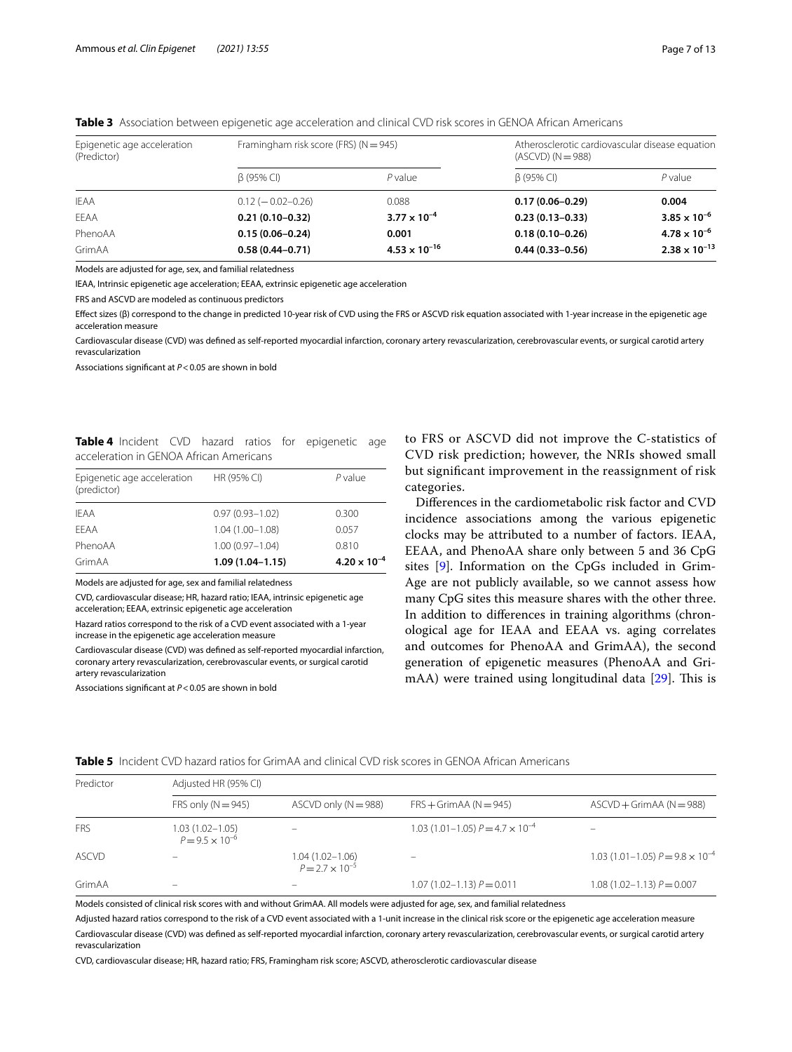| Epigenetic age acceleration<br>(Predictor) | Framingham risk score (FRS) $(N = 945)$ |                        | Atherosclerotic cardiovascular disease equation<br>$(ASCVD) (N = 988)$ |                        |
|--------------------------------------------|-----------------------------------------|------------------------|------------------------------------------------------------------------|------------------------|
|                                            | $\beta$ (95% CI)                        | $P$ value              | $\beta$ (95% CI)                                                       | $P$ value              |
| <b>IEAA</b>                                | $0.12 (-0.02 - 0.26)$                   | 0.088                  | $0.17(0.06 - 0.29)$                                                    | 0.004                  |
| EEAA                                       | $0.21(0.10-0.32)$                       | $3.77 \times 10^{-4}$  | $0.23(0.13 - 0.33)$                                                    | $3.85 \times 10^{-6}$  |
| PhenoAA                                    | $0.15(0.06 - 0.24)$                     | 0.001                  | $0.18(0.10 - 0.26)$                                                    | $4.78 \times 10^{-6}$  |
| GrimAA                                     | $0.58(0.44 - 0.71)$                     | $4.53 \times 10^{-16}$ | $0.44(0.33 - 0.56)$                                                    | $2.38 \times 10^{-13}$ |

<span id="page-6-0"></span>**Table 3** Association between epigenetic age acceleration and clinical CVD risk scores in GENOA African Americans

Models are adjusted for age, sex, and familial relatedness

IEAA, Intrinsic epigenetic age acceleration; EEAA, extrinsic epigenetic age acceleration

FRS and ASCVD are modeled as continuous predictors

Efect sizes (β) correspond to the change in predicted 10-year risk of CVD using the FRS or ASCVD risk equation associated with 1-year increase in the epigenetic age acceleration measure

Cardiovascular disease (CVD) was defned as self-reported myocardial infarction, coronary artery revascularization, cerebrovascular events, or surgical carotid artery revascularization

Associations signifcant at *P*<0.05 are shown in bold

<span id="page-6-1"></span>

|                                         |  |  | Table 4 Incident CVD hazard ratios for epigenetic age |  |
|-----------------------------------------|--|--|-------------------------------------------------------|--|
| acceleration in GENOA African Americans |  |  |                                                       |  |

| Epigenetic age acceleration<br>(predictor) | HR (95% CI)         | P value               |
|--------------------------------------------|---------------------|-----------------------|
| <b>IFAA</b>                                | $0.97(0.93 - 1.02)$ | 0.300                 |
| FFAA                                       | $1.04(1.00 - 1.08)$ | 0.057                 |
| PhenoAA                                    | $1.00(0.97 - 1.04)$ | 0.810                 |
| GrimAA                                     | $1.09(1.04 - 1.15)$ | $4.20 \times 10^{-4}$ |

Models are adjusted for age, sex and familial relatedness

CVD, cardiovascular disease; HR, hazard ratio; IEAA, intrinsic epigenetic age acceleration; EEAA, extrinsic epigenetic age acceleration

Hazard ratios correspond to the risk of a CVD event associated with a 1-year increase in the epigenetic age acceleration measure

Cardiovascular disease (CVD) was defned as self-reported myocardial infarction, coronary artery revascularization, cerebrovascular events, or surgical carotid artery revascularization

Associations signifcant at *P*<0.05 are shown in bold

to FRS or ASCVD did not improve the C-statistics of CVD risk prediction; however, the NRIs showed small but signifcant improvement in the reassignment of risk categories.

Diferences in the cardiometabolic risk factor and CVD incidence associations among the various epigenetic clocks may be attributed to a number of factors. IEAA, EEAA, and PhenoAA share only between 5 and 36 CpG sites [\[9](#page-11-7)]. Information on the CpGs included in Grim-Age are not publicly available, so we cannot assess how many CpG sites this measure shares with the other three. In addition to diferences in training algorithms (chronological age for IEAA and EEAA vs. aging correlates and outcomes for PhenoAA and GrimAA), the second generation of epigenetic measures (PhenoAA and GrimAA) were trained using longitudinal data  $[29]$  $[29]$ . This is

| Predictor    | Adjusted HR (95% CI)                            |                                                 |                                           |                                         |  |  |  |
|--------------|-------------------------------------------------|-------------------------------------------------|-------------------------------------------|-----------------------------------------|--|--|--|
|              | FRS only $(N = 945)$                            | ASCVD only $(N = 988)$                          | $FRS + GrimAA (N = 945)$                  | $ASCVD + GrimAA (N = 988)$              |  |  |  |
| <b>FRS</b>   | $1.03(1.02 - 1.05)$<br>$P = 9.5 \times 10^{-6}$ | -                                               | 1.03 (1.01–1.05) $P = 4.7 \times 10^{-4}$ | $\qquad \qquad \  \, -$                 |  |  |  |
| <b>ASCVD</b> |                                                 | $1.04(1.02 - 1.06)$<br>$P = 2.7 \times 10^{-5}$ |                                           | $1.03(1.01-1.05)P = 9.8 \times 10^{-4}$ |  |  |  |
| GrimAA       | $\qquad \qquad \longleftarrow$                  | -                                               | $1.07(1.02 - 1.13) P = 0.011$             | $1.08(1.02 - 1.13) P = 0.007$           |  |  |  |

<span id="page-6-2"></span>**Table 5** Incident CVD hazard ratios for GrimAA and clinical CVD risk scores in GENOA African Americans

Models consisted of clinical risk scores with and without GrimAA. All models were adjusted for age, sex, and familial relatedness

Adjusted hazard ratios correspond to the risk of a CVD event associated with a 1-unit increase in the clinical risk score or the epigenetic age acceleration measure Cardiovascular disease (CVD) was defned as self-reported myocardial infarction, coronary artery revascularization, cerebrovascular events, or surgical carotid artery revascularization

CVD, cardiovascular disease; HR, hazard ratio; FRS, Framingham risk score; ASCVD, atherosclerotic cardiovascular disease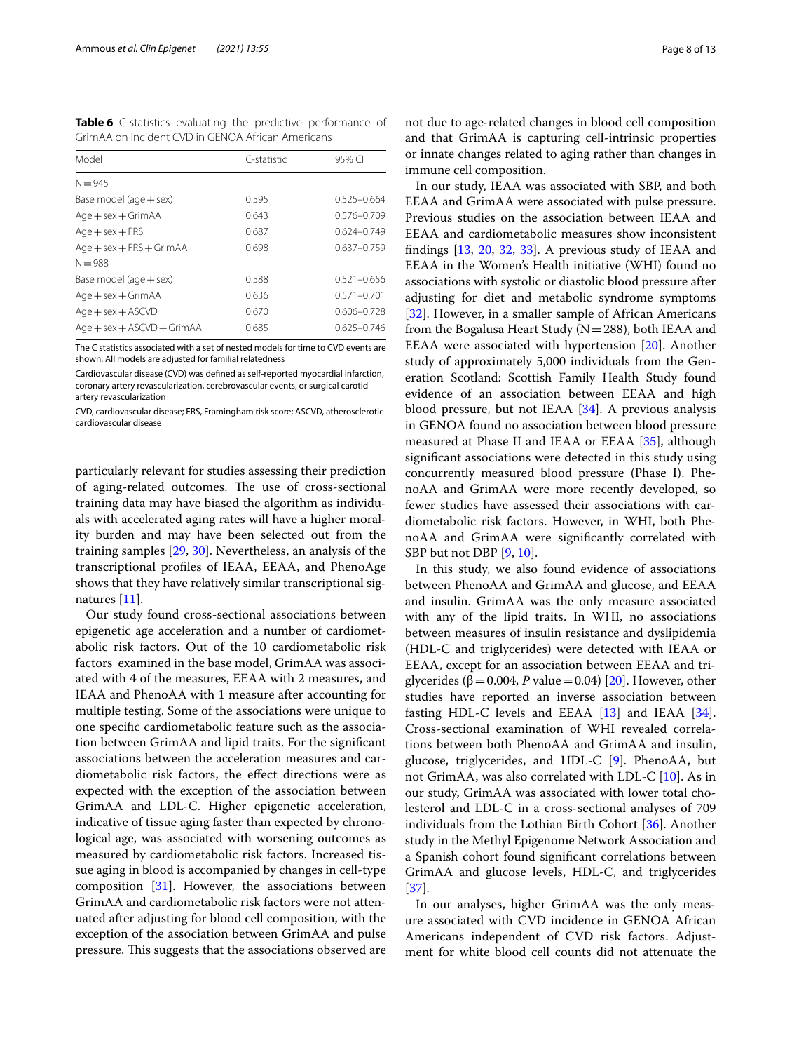<span id="page-7-0"></span>**Table 6** C-statistics evaluating the predictive performance of GrimAA on incident CVD in GENOA African Americans

| Model                        | C-statistic | 95% CI          |
|------------------------------|-------------|-----------------|
| $N = 945$                    |             |                 |
| Base model (age + sex)       | 0.595       | $0.525 - 0.664$ |
| $Age + sex + GrimAA$         | 0.643       | $0.576 - 0.709$ |
| $Age + sex + FRS$            | 0.687       | 0624-0749       |
| $Aqe + sex + FRS + GrimAA$   | 0.698       | 0.637-0.759     |
| $N = 988$                    |             |                 |
| Base model (age $+$ sex)     | 0.588       | $0.521 - 0.656$ |
| $Aqe + sex + GrimAA$         | 0.636       | $0.571 - 0.701$ |
| $Age + sex + ASCVD$          | 0.670       | 0.606-0.728     |
| $Age + sex + ASCVD + GrimAA$ | 0.685       | 0.625-0.746     |

The C statistics associated with a set of nested models for time to CVD events are shown. All models are adjusted for familial relatedness

Cardiovascular disease (CVD) was defned as self-reported myocardial infarction, coronary artery revascularization, cerebrovascular events, or surgical carotid artery revascularization

CVD, cardiovascular disease; FRS, Framingham risk score; ASCVD, atherosclerotic cardiovascular disease

particularly relevant for studies assessing their prediction of aging-related outcomes. The use of cross-sectional training data may have biased the algorithm as individuals with accelerated aging rates will have a higher morality burden and may have been selected out from the training samples [[29,](#page-12-5) [30](#page-12-6)]. Nevertheless, an analysis of the transcriptional profles of IEAA, EEAA, and PhenoAge shows that they have relatively similar transcriptional signatures [[11](#page-11-9)].

Our study found cross-sectional associations between epigenetic age acceleration and a number of cardiometabolic risk factors. Out of the 10 cardiometabolic risk factors examined in the base model, GrimAA was associated with 4 of the measures, EEAA with 2 measures, and IEAA and PhenoAA with 1 measure after accounting for multiple testing. Some of the associations were unique to one specifc cardiometabolic feature such as the association between GrimAA and lipid traits. For the signifcant associations between the acceleration measures and cardiometabolic risk factors, the efect directions were as expected with the exception of the association between GrimAA and LDL-C. Higher epigenetic acceleration, indicative of tissue aging faster than expected by chronological age, was associated with worsening outcomes as measured by cardiometabolic risk factors. Increased tissue aging in blood is accompanied by changes in cell-type composition [[31\]](#page-12-7). However, the associations between GrimAA and cardiometabolic risk factors were not attenuated after adjusting for blood cell composition, with the exception of the association between GrimAA and pulse pressure. This suggests that the associations observed are

not due to age-related changes in blood cell composition and that GrimAA is capturing cell-intrinsic properties or innate changes related to aging rather than changes in immune cell composition.

In our study, IEAA was associated with SBP, and both EEAA and GrimAA were associated with pulse pressure. Previous studies on the association between IEAA and EEAA and cardiometabolic measures show inconsistent fndings [\[13](#page-11-14), [20,](#page-11-15) [32](#page-12-8), [33](#page-12-9)]. A previous study of IEAA and EEAA in the Women's Health initiative (WHI) found no associations with systolic or diastolic blood pressure after adjusting for diet and metabolic syndrome symptoms [[32\]](#page-12-8). However, in a smaller sample of African Americans from the Bogalusa Heart Study ( $N=288$ ), both IEAA and EEAA were associated with hypertension [\[20](#page-11-15)]. Another study of approximately 5,000 individuals from the Generation Scotland: Scottish Family Health Study found evidence of an association between EEAA and high blood pressure, but not IEAA [[34\]](#page-12-10). A previous analysis in GENOA found no association between blood pressure measured at Phase II and IEAA or EEAA [[35\]](#page-12-11), although signifcant associations were detected in this study using concurrently measured blood pressure (Phase I). PhenoAA and GrimAA were more recently developed, so fewer studies have assessed their associations with cardiometabolic risk factors. However, in WHI, both PhenoAA and GrimAA were signifcantly correlated with SBP but not DBP [[9,](#page-11-7) [10](#page-11-8)].

In this study, we also found evidence of associations between PhenoAA and GrimAA and glucose, and EEAA and insulin. GrimAA was the only measure associated with any of the lipid traits. In WHI, no associations between measures of insulin resistance and dyslipidemia (HDL-C and triglycerides) were detected with IEAA or EEAA, except for an association between EEAA and triglycerides ( $\beta$  = 0.004, *P* value = 0.04) [\[20\]](#page-11-15). However, other studies have reported an inverse association between fasting HDL-C levels and EEAA [[13\]](#page-11-14) and IEAA [\[34](#page-12-10)]. Cross-sectional examination of WHI revealed correlations between both PhenoAA and GrimAA and insulin, glucose, triglycerides, and HDL-C [\[9](#page-11-7)]. PhenoAA, but not GrimAA, was also correlated with LDL-C [[10\]](#page-11-8). As in our study, GrimAA was associated with lower total cholesterol and LDL-C in a cross-sectional analyses of 709 individuals from the Lothian Birth Cohort [\[36\]](#page-12-12). Another study in the Methyl Epigenome Network Association and a Spanish cohort found signifcant correlations between GrimAA and glucose levels, HDL-C, and triglycerides [[37\]](#page-12-13).

In our analyses, higher GrimAA was the only measure associated with CVD incidence in GENOA African Americans independent of CVD risk factors. Adjustment for white blood cell counts did not attenuate the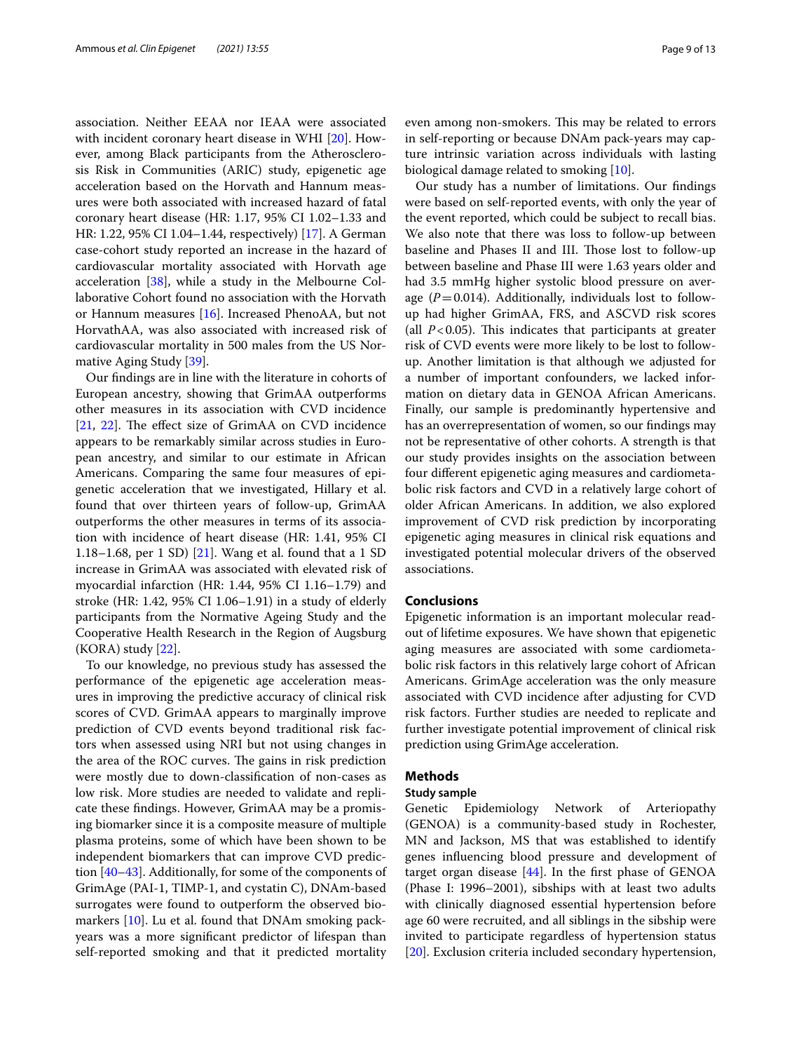association. Neither EEAA nor IEAA were associated with incident coronary heart disease in WHI [\[20\]](#page-11-15). However, among Black participants from the Atherosclerosis Risk in Communities (ARIC) study, epigenetic age acceleration based on the Horvath and Hannum measures were both associated with increased hazard of fatal coronary heart disease (HR: 1.17, 95% CI 1.02–1.33 and HR: 1.22, 95% CI 1.04–1.44, respectively) [[17\]](#page-11-16). A German case-cohort study reported an increase in the hazard of cardiovascular mortality associated with Horvath age acceleration [\[38](#page-12-14)], while a study in the Melbourne Collaborative Cohort found no association with the Horvath or Hannum measures [[16\]](#page-11-17). Increased PhenoAA, but not HorvathAA, was also associated with increased risk of cardiovascular mortality in 500 males from the US Normative Aging Study [\[39\]](#page-12-15).

Our fndings are in line with the literature in cohorts of European ancestry, showing that GrimAA outperforms other measures in its association with CVD incidence  $[21, 22]$  $[21, 22]$  $[21, 22]$  $[21, 22]$ . The effect size of GrimAA on CVD incidence appears to be remarkably similar across studies in European ancestry, and similar to our estimate in African Americans. Comparing the same four measures of epigenetic acceleration that we investigated, Hillary et al. found that over thirteen years of follow-up, GrimAA outperforms the other measures in terms of its association with incidence of heart disease (HR: 1.41, 95% CI 1.18–1.68, per 1 SD) [\[21\]](#page-11-11). Wang et al. found that a 1 SD increase in GrimAA was associated with elevated risk of myocardial infarction (HR: 1.44, 95% CI 1.16–1.79) and stroke (HR: 1.42, 95% CI 1.06–1.91) in a study of elderly participants from the Normative Ageing Study and the Cooperative Health Research in the Region of Augsburg  $(KORA)$  study  $[22]$  $[22]$ .

To our knowledge, no previous study has assessed the performance of the epigenetic age acceleration measures in improving the predictive accuracy of clinical risk scores of CVD. GrimAA appears to marginally improve prediction of CVD events beyond traditional risk factors when assessed using NRI but not using changes in the area of the ROC curves. The gains in risk prediction were mostly due to down-classifcation of non-cases as low risk. More studies are needed to validate and replicate these fndings. However, GrimAA may be a promising biomarker since it is a composite measure of multiple plasma proteins, some of which have been shown to be independent biomarkers that can improve CVD prediction [[40](#page-12-16)[–43](#page-12-17)]. Additionally, for some of the components of GrimAge (PAI-1, TIMP-1, and cystatin C), DNAm-based surrogates were found to outperform the observed biomarkers [\[10\]](#page-11-8). Lu et al. found that DNAm smoking packyears was a more signifcant predictor of lifespan than self-reported smoking and that it predicted mortality even among non-smokers. This may be related to errors in self-reporting or because DNAm pack-years may capture intrinsic variation across individuals with lasting biological damage related to smoking [\[10\]](#page-11-8).

Our study has a number of limitations. Our fndings were based on self-reported events, with only the year of the event reported, which could be subject to recall bias. We also note that there was loss to follow-up between baseline and Phases II and III. Those lost to follow-up between baseline and Phase III were 1.63 years older and had 3.5 mmHg higher systolic blood pressure on average  $(P=0.014)$ . Additionally, individuals lost to followup had higher GrimAA, FRS, and ASCVD risk scores (all  $P < 0.05$ ). This indicates that participants at greater risk of CVD events were more likely to be lost to followup. Another limitation is that although we adjusted for a number of important confounders, we lacked information on dietary data in GENOA African Americans. Finally, our sample is predominantly hypertensive and has an overrepresentation of women, so our fndings may not be representative of other cohorts. A strength is that our study provides insights on the association between four diferent epigenetic aging measures and cardiometabolic risk factors and CVD in a relatively large cohort of older African Americans. In addition, we also explored improvement of CVD risk prediction by incorporating epigenetic aging measures in clinical risk equations and investigated potential molecular drivers of the observed associations.

#### **Conclusions**

Epigenetic information is an important molecular readout of lifetime exposures. We have shown that epigenetic aging measures are associated with some cardiometabolic risk factors in this relatively large cohort of African Americans. GrimAge acceleration was the only measure associated with CVD incidence after adjusting for CVD risk factors. Further studies are needed to replicate and further investigate potential improvement of clinical risk prediction using GrimAge acceleration.

# **Methods**

#### **Study sample**

Genetic Epidemiology Network of Arteriopathy (GENOA) is a community-based study in Rochester, MN and Jackson, MS that was established to identify genes infuencing blood pressure and development of target organ disease  $[44]$  $[44]$ . In the first phase of GENOA (Phase I: 1996–2001), sibships with at least two adults with clinically diagnosed essential hypertension before age 60 were recruited, and all siblings in the sibship were invited to participate regardless of hypertension status [[20\]](#page-11-15). Exclusion criteria included secondary hypertension,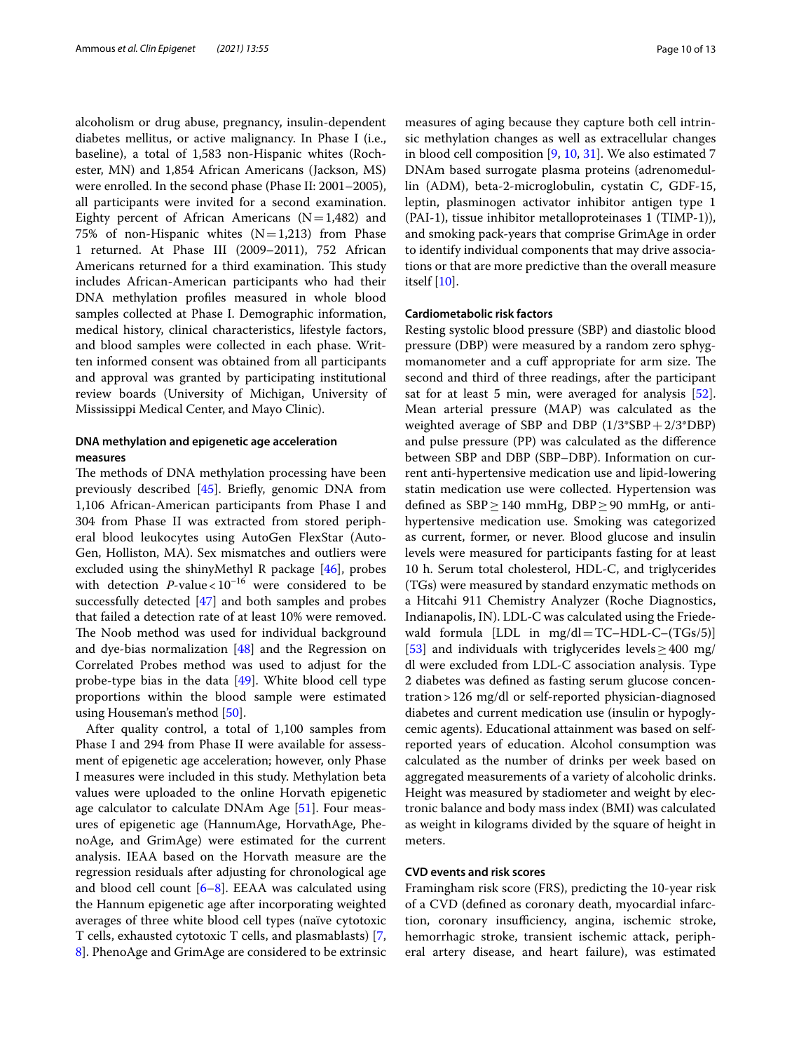alcoholism or drug abuse, pregnancy, insulin-dependent diabetes mellitus, or active malignancy. In Phase I (i.e., baseline), a total of 1,583 non-Hispanic whites (Rochester, MN) and 1,854 African Americans (Jackson, MS) were enrolled. In the second phase (Phase II: 2001–2005), all participants were invited for a second examination. Eighty percent of African Americans  $(N=1,482)$  and 75% of non-Hispanic whites  $(N=1,213)$  from Phase 1 returned. At Phase III (2009–2011), 752 African Americans returned for a third examination. This study includes African-American participants who had their DNA methylation profles measured in whole blood samples collected at Phase I. Demographic information, medical history, clinical characteristics, lifestyle factors, and blood samples were collected in each phase. Written informed consent was obtained from all participants and approval was granted by participating institutional review boards (University of Michigan, University of Mississippi Medical Center, and Mayo Clinic).

#### **DNA methylation and epigenetic age acceleration measures**

The methods of DNA methylation processing have been previously described [\[45](#page-12-19)]. Briefy, genomic DNA from 1,106 African-American participants from Phase I and 304 from Phase II was extracted from stored peripheral blood leukocytes using AutoGen FlexStar (Auto-Gen, Holliston, MA). Sex mismatches and outliers were excluded using the shinyMethyl R package [[46\]](#page-12-20), probes with detection  $P$ -value <  $10^{-16}$  were considered to be successfully detected [\[47\]](#page-12-21) and both samples and probes that failed a detection rate of at least 10% were removed. The Noob method was used for individual background and dye-bias normalization  $[48]$  $[48]$  $[48]$  and the Regression on Correlated Probes method was used to adjust for the probe-type bias in the data [\[49](#page-12-23)]. White blood cell type proportions within the blood sample were estimated using Houseman's method [[50\]](#page-12-24).

After quality control, a total of 1,100 samples from Phase I and 294 from Phase II were available for assessment of epigenetic age acceleration; however, only Phase I measures were included in this study. Methylation beta values were uploaded to the online Horvath epigenetic age calculator to calculate DNAm Age [[51](#page-12-25)]. Four measures of epigenetic age (HannumAge, HorvathAge, PhenoAge, and GrimAge) were estimated for the current analysis. IEAA based on the Horvath measure are the regression residuals after adjusting for chronological age and blood cell count  $[6-8]$  $[6-8]$  $[6-8]$ . EEAA was calculated using the Hannum epigenetic age after incorporating weighted averages of three white blood cell types (naïve cytotoxic T cells, exhausted cytotoxic T cells, and plasmablasts) [\[7](#page-11-5), [8\]](#page-11-6). PhenoAge and GrimAge are considered to be extrinsic measures of aging because they capture both cell intrinsic methylation changes as well as extracellular changes in blood cell composition [[9](#page-11-7), [10](#page-11-8), [31\]](#page-12-7). We also estimated 7 DNAm based surrogate plasma proteins (adrenomedullin (ADM), beta-2-microglobulin, cystatin C, GDF-15, leptin, plasminogen activator inhibitor antigen type 1 (PAI-1), tissue inhibitor metalloproteinases 1 (TIMP-1)), and smoking pack-years that comprise GrimAge in order to identify individual components that may drive associations or that are more predictive than the overall measure itself [[10\]](#page-11-8).

#### **Cardiometabolic risk factors**

Resting systolic blood pressure (SBP) and diastolic blood pressure (DBP) were measured by a random zero sphygmomanometer and a cuff appropriate for arm size. The second and third of three readings, after the participant sat for at least 5 min, were averaged for analysis [\[52](#page-12-26)]. Mean arterial pressure (MAP) was calculated as the weighted average of SBP and DBP (1/3\*SBP+2/3\*DBP) and pulse pressure (PP) was calculated as the diference between SBP and DBP (SBP–DBP). Information on current anti-hypertensive medication use and lipid-lowering statin medication use were collected. Hypertension was defined as  $SBP \ge 140$  mmHg, DBP  $\ge 90$  mmHg, or antihypertensive medication use. Smoking was categorized as current, former, or never. Blood glucose and insulin levels were measured for participants fasting for at least 10 h. Serum total cholesterol, HDL-C, and triglycerides (TGs) were measured by standard enzymatic methods on a Hitcahi 911 Chemistry Analyzer (Roche Diagnostics, Indianapolis, IN). LDL-C was calculated using the Friedewald formula [LDL in mg/dl =  $TC$ – $HDL$ - $C$ – $(TGs/5)$ ] [[53\]](#page-12-27) and individuals with triglycerides levels  $\geq 400$  mg/ dl were excluded from LDL-C association analysis. Type 2 diabetes was defned as fasting serum glucose concentration>126 mg/dl or self-reported physician-diagnosed diabetes and current medication use (insulin or hypoglycemic agents). Educational attainment was based on selfreported years of education. Alcohol consumption was calculated as the number of drinks per week based on aggregated measurements of a variety of alcoholic drinks. Height was measured by stadiometer and weight by electronic balance and body mass index (BMI) was calculated as weight in kilograms divided by the square of height in meters.

#### **CVD events and risk scores**

Framingham risk score (FRS), predicting the 10-year risk of a CVD (defned as coronary death, myocardial infarction, coronary insufficiency, angina, ischemic stroke, hemorrhagic stroke, transient ischemic attack, peripheral artery disease, and heart failure), was estimated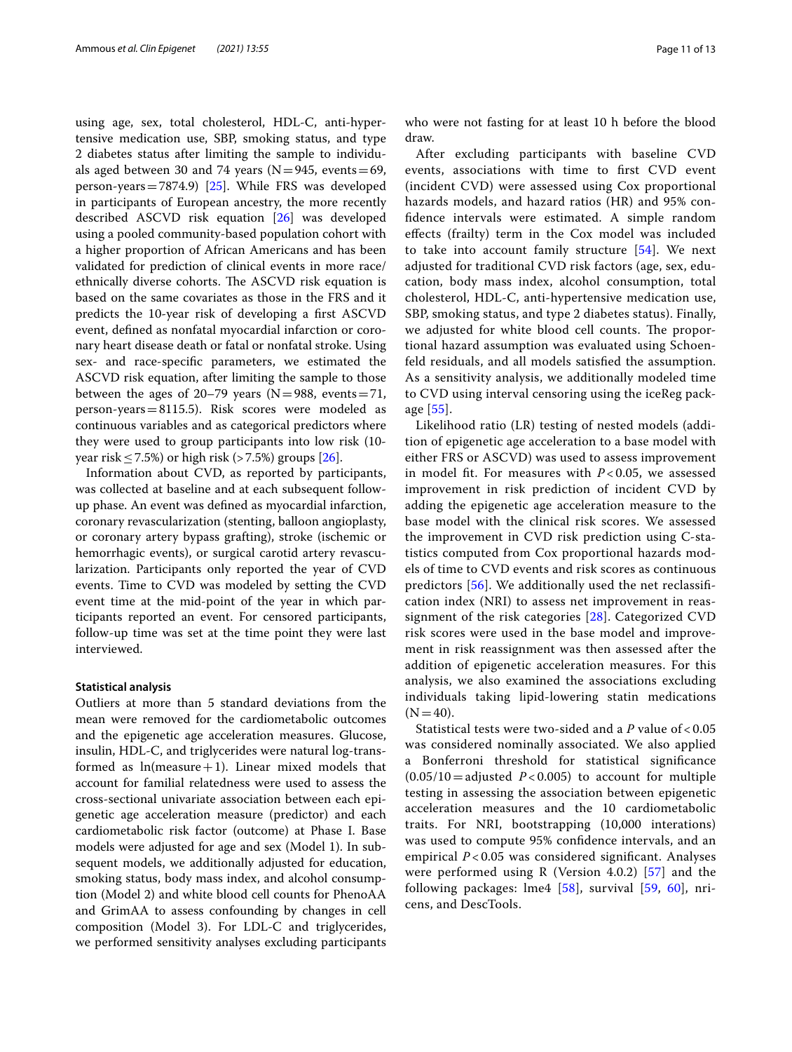using age, sex, total cholesterol, HDL-C, anti-hypertensive medication use, SBP, smoking status, and type 2 diabetes status after limiting the sample to individuals aged between 30 and 74 years ( $N=945$ , events=69, person-years=7874.9) [[25](#page-12-1)]. While FRS was developed in participants of European ancestry, the more recently described ASCVD risk equation [\[26](#page-12-2)] was developed using a pooled community-based population cohort with a higher proportion of African Americans and has been validated for prediction of clinical events in more race/ ethnically diverse cohorts. The ASCVD risk equation is based on the same covariates as those in the FRS and it predicts the 10-year risk of developing a frst ASCVD event, defned as nonfatal myocardial infarction or coronary heart disease death or fatal or nonfatal stroke. Using sex- and race-specifc parameters, we estimated the ASCVD risk equation, after limiting the sample to those between the ages of 20–79 years ( $N=988$ , events=71, person-years=8115.5). Risk scores were modeled as continuous variables and as categorical predictors where they were used to group participants into low risk (10 year risk  $\leq$  7.5%) or high risk (> 7.5%) groups [[26](#page-12-2)].

Information about CVD, as reported by participants, was collected at baseline and at each subsequent followup phase. An event was defned as myocardial infarction, coronary revascularization (stenting, balloon angioplasty, or coronary artery bypass grafting), stroke (ischemic or hemorrhagic events), or surgical carotid artery revascularization. Participants only reported the year of CVD events. Time to CVD was modeled by setting the CVD event time at the mid-point of the year in which participants reported an event. For censored participants, follow-up time was set at the time point they were last interviewed.

#### **Statistical analysis**

Outliers at more than 5 standard deviations from the mean were removed for the cardiometabolic outcomes and the epigenetic age acceleration measures. Glucose, insulin, HDL-C, and triglycerides were natural log-transformed as  $ln(measure+1)$ . Linear mixed models that account for familial relatedness were used to assess the cross-sectional univariate association between each epigenetic age acceleration measure (predictor) and each cardiometabolic risk factor (outcome) at Phase I. Base models were adjusted for age and sex (Model 1). In subsequent models, we additionally adjusted for education, smoking status, body mass index, and alcohol consumption (Model 2) and white blood cell counts for PhenoAA and GrimAA to assess confounding by changes in cell composition (Model 3). For LDL-C and triglycerides, we performed sensitivity analyses excluding participants who were not fasting for at least 10 h before the blood draw.

After excluding participants with baseline CVD events, associations with time to frst CVD event (incident CVD) were assessed using Cox proportional hazards models, and hazard ratios (HR) and 95% confdence intervals were estimated. A simple random efects (frailty) term in the Cox model was included to take into account family structure  $[54]$  $[54]$ . We next adjusted for traditional CVD risk factors (age, sex, education, body mass index, alcohol consumption, total cholesterol, HDL-C, anti-hypertensive medication use, SBP, smoking status, and type 2 diabetes status). Finally, we adjusted for white blood cell counts. The proportional hazard assumption was evaluated using Schoenfeld residuals, and all models satisfed the assumption. As a sensitivity analysis, we additionally modeled time to CVD using interval censoring using the iceReg package [[55\]](#page-12-29).

Likelihood ratio (LR) testing of nested models (addition of epigenetic age acceleration to a base model with either FRS or ASCVD) was used to assess improvement in model ft. For measures with *P* < 0.05, we assessed improvement in risk prediction of incident CVD by adding the epigenetic age acceleration measure to the base model with the clinical risk scores. We assessed the improvement in CVD risk prediction using C-statistics computed from Cox proportional hazards models of time to CVD events and risk scores as continuous predictors [\[56](#page-12-30)]. We additionally used the net reclassifcation index (NRI) to assess net improvement in reassignment of the risk categories [[28\]](#page-12-4). Categorized CVD risk scores were used in the base model and improvement in risk reassignment was then assessed after the addition of epigenetic acceleration measures. For this analysis, we also examined the associations excluding individuals taking lipid-lowering statin medications  $(N=40)$ .

Statistical tests were two-sided and a *P* value of < 0.05 was considered nominally associated. We also applied a Bonferroni threshold for statistical signifcance  $(0.05/10)$  = adjusted *P* < 0.005) to account for multiple testing in assessing the association between epigenetic acceleration measures and the 10 cardiometabolic traits. For NRI, bootstrapping (10,000 interations) was used to compute 95% confdence intervals, and an empirical *P* < 0.05 was considered signifcant. Analyses were performed using R (Version 4.0.2) [\[57\]](#page-12-31) and the following packages: lme4 [[58\]](#page-12-32), survival [[59,](#page-12-33) [60](#page-12-34)], nricens, and DescTools.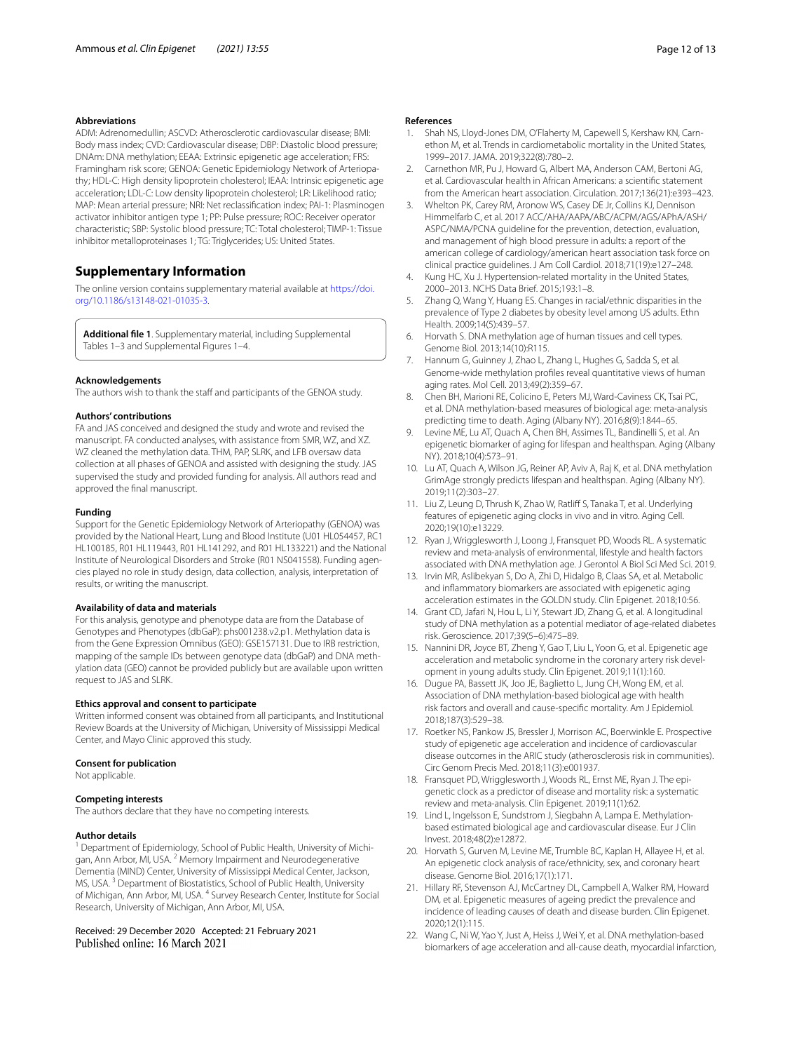#### **Abbreviations**

ADM: Adrenomedullin; ASCVD: Atherosclerotic cardiovascular disease; BMI: Body mass index; CVD: Cardiovascular disease; DBP: Diastolic blood pressure; DNAm: DNA methylation; EEAA: Extrinsic epigenetic age acceleration; FRS: Framingham risk score; GENOA: Genetic Epidemiology Network of Arteriopathy; HDL-C: High density lipoprotein cholesterol; IEAA: Intrinsic epigenetic age acceleration; LDL-C: Low density lipoprotein cholesterol; LR: Likelihood ratio; MAP: Mean arterial pressure; NRI: Net reclassifcation index; PAI-1: Plasminogen activator inhibitor antigen type 1; PP: Pulse pressure; ROC: Receiver operator characteristic; SBP: Systolic blood pressure; TC: Total cholesterol; TIMP-1: Tissue inhibitor metalloproteinases 1; TG: Triglycerides; US: United States.

#### **Supplementary Information**

The online version contains supplementary material available at [https://doi.](https://doi.org/10.1186/s13148-021-01035-3) [org/10.1186/s13148-021-01035-3](https://doi.org/10.1186/s13148-021-01035-3).

<span id="page-11-13"></span>**Additional fle 1**. Supplementary material, including Supplemental Tables 1–3 and Supplemental Figures 1–4.

#### **Acknowledgements**

The authors wish to thank the staff and participants of the GENOA study.

#### **Authors' contributions**

FA and JAS conceived and designed the study and wrote and revised the manuscript. FA conducted analyses, with assistance from SMR, WZ, and XZ. WZ cleaned the methylation data. THM, PAP, SLRK, and LFB oversaw data collection at all phases of GENOA and assisted with designing the study. JAS supervised the study and provided funding for analysis. All authors read and approved the fnal manuscript.

#### **Funding**

Support for the Genetic Epidemiology Network of Arteriopathy (GENOA) was provided by the National Heart, Lung and Blood Institute (U01 HL054457, RC1 HL100185, R01 HL119443, R01 HL141292, and R01 HL133221) and the National Institute of Neurological Disorders and Stroke (R01 NS041558). Funding agencies played no role in study design, data collection, analysis, interpretation of results, or writing the manuscript.

#### **Availability of data and materials**

For this analysis, genotype and phenotype data are from the Database of Genotypes and Phenotypes (dbGaP): phs001238.v2.p1. Methylation data is from the Gene Expression Omnibus (GEO): GSE157131. Due to IRB restriction, mapping of the sample IDs between genotype data (dbGaP) and DNA methylation data (GEO) cannot be provided publicly but are available upon written request to JAS and SLRK.

#### **Ethics approval and consent to participate**

Written informed consent was obtained from all participants, and Institutional Review Boards at the University of Michigan, University of Mississippi Medical Center, and Mayo Clinic approved this study.

#### **Consent for publication**

Not applicable.

#### **Competing interests**

The authors declare that they have no competing interests.

#### **Author details**

<sup>1</sup> Department of Epidemiology, School of Public Health, University of Michigan, Ann Arbor, MI, USA. <sup>2</sup> Memory Impairment and Neurodegenerative Dementia (MIND) Center, University of Mississippi Medical Center, Jackson, MS, USA. 3 Department of Biostatistics, School of Public Health, University of Michigan, Ann Arbor, MI, USA. <sup>4</sup> Survey Research Center, Institute for Social Research, University of Michigan, Ann Arbor, MI, USA.

# Received: 29 December 2020 Accepted: 21 February 2021

#### **References**

- <span id="page-11-0"></span>1. Shah NS, Lloyd-Jones DM, O'Flaherty M, Capewell S, Kershaw KN, Carnethon M, et al. Trends in cardiometabolic mortality in the United States, 1999–2017. JAMA. 2019;322(8):780–2.
- <span id="page-11-1"></span>2. Carnethon MR, Pu J, Howard G, Albert MA, Anderson CAM, Bertoni AG, et al. Cardiovascular health in African Americans: a scientifc statement from the American heart association. Circulation. 2017;136(21):e393–423.
- <span id="page-11-2"></span>3. Whelton PK, Carey RM, Aronow WS, Casey DE Jr, Collins KJ, Dennison Himmelfarb C, et al. 2017 ACC/AHA/AAPA/ABC/ACPM/AGS/APhA/ASH/ ASPC/NMA/PCNA guideline for the prevention, detection, evaluation, and management of high blood pressure in adults: a report of the american college of cardiology/american heart association task force on clinical practice guidelines. J Am Coll Cardiol. 2018;71(19):e127–248.
- 4. Kung HC, Xu J. Hypertension-related mortality in the United States, 2000–2013. NCHS Data Brief. 2015;193:1–8.
- <span id="page-11-3"></span>5. Zhang Q, Wang Y, Huang ES. Changes in racial/ethnic disparities in the prevalence of Type 2 diabetes by obesity level among US adults. Ethn Health. 2009;14(5):439–57.
- <span id="page-11-4"></span>6. Horvath S. DNA methylation age of human tissues and cell types. Genome Biol. 2013;14(10):R115.
- <span id="page-11-5"></span>7. Hannum G, Guinney J, Zhao L, Zhang L, Hughes G, Sadda S, et al. Genome-wide methylation profles reveal quantitative views of human aging rates. Mol Cell. 2013;49(2):359–67.
- <span id="page-11-6"></span>8. Chen BH, Marioni RE, Colicino E, Peters MJ, Ward-Caviness CK, Tsai PC, et al. DNA methylation-based measures of biological age: meta-analysis predicting time to death. Aging (Albany NY). 2016;8(9):1844–65.
- <span id="page-11-7"></span>9. Levine ME, Lu AT, Quach A, Chen BH, Assimes TL, Bandinelli S, et al. An epigenetic biomarker of aging for lifespan and healthspan. Aging (Albany NY). 2018;10(4):573–91.
- <span id="page-11-8"></span>10. Lu AT, Quach A, Wilson JG, Reiner AP, Aviv A, Raj K, et al. DNA methylation GrimAge strongly predicts lifespan and healthspan. Aging (Albany NY). 2019;11(2):303–27.
- <span id="page-11-9"></span>11. Liu Z, Leung D, Thrush K, Zhao W, Ratlif S, Tanaka T, et al. Underlying features of epigenetic aging clocks in vivo and in vitro. Aging Cell. 2020;19(10):e13229.
- <span id="page-11-10"></span>12. Ryan J, Wrigglesworth J, Loong J, Fransquet PD, Woods RL. A systematic review and meta-analysis of environmental, lifestyle and health factors associated with DNA methylation age. J Gerontol A Biol Sci Med Sci. 2019.
- <span id="page-11-14"></span>13. Irvin MR, Aslibekyan S, Do A, Zhi D, Hidalgo B, Claas SA, et al. Metabolic and infammatory biomarkers are associated with epigenetic aging acceleration estimates in the GOLDN study. Clin Epigenet. 2018;10:56.
- 14. Grant CD, Jafari N, Hou L, Li Y, Stewart JD, Zhang G, et al. A longitudinal study of DNA methylation as a potential mediator of age-related diabetes risk. Geroscience. 2017;39(5–6):475–89.
- 15. Nannini DR, Joyce BT, Zheng Y, Gao T, Liu L, Yoon G, et al. Epigenetic age acceleration and metabolic syndrome in the coronary artery risk development in young adults study. Clin Epigenet. 2019;11(1):160.
- <span id="page-11-17"></span>16. Dugue PA, Bassett JK, Joo JE, Baglietto L, Jung CH, Wong EM, et al. Association of DNA methylation-based biological age with health risk factors and overall and cause-specifc mortality. Am J Epidemiol. 2018;187(3):529–38.
- <span id="page-11-16"></span>17. Roetker NS, Pankow JS, Bressler J, Morrison AC, Boerwinkle E. Prospective study of epigenetic age acceleration and incidence of cardiovascular disease outcomes in the ARIC study (atherosclerosis risk in communities). Circ Genom Precis Med. 2018;11(3):e001937.
- 18. Fransquet PD, Wrigglesworth J, Woods RL, Ernst ME, Ryan J. The epigenetic clock as a predictor of disease and mortality risk: a systematic review and meta-analysis. Clin Epigenet. 2019;11(1):62.
- 19. Lind L, Ingelsson E, Sundstrom J, Siegbahn A, Lampa E. Methylationbased estimated biological age and cardiovascular disease. Eur J Clin Invest. 2018;48(2):e12872.
- <span id="page-11-15"></span>20. Horvath S, Gurven M, Levine ME, Trumble BC, Kaplan H, Allayee H, et al. An epigenetic clock analysis of race/ethnicity, sex, and coronary heart disease. Genome Biol. 2016;17(1):171.
- <span id="page-11-11"></span>21. Hillary RF, Stevenson AJ, McCartney DL, Campbell A, Walker RM, Howard DM, et al. Epigenetic measures of ageing predict the prevalence and incidence of leading causes of death and disease burden. Clin Epigenet. 2020;12(1):115.
- <span id="page-11-12"></span>22. Wang C, Ni W, Yao Y, Just A, Heiss J, Wei Y, et al. DNA methylation-based biomarkers of age acceleration and all-cause death, myocardial infarction,